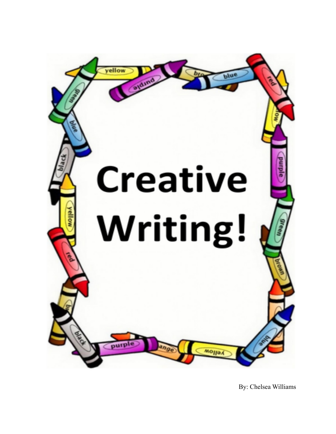

By: Chelsea Williams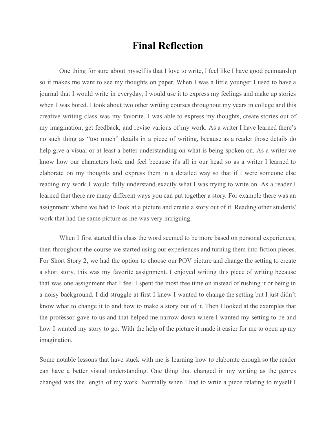## **Final Reflection**

One thing for sure about myself is that I love to write, I feel like I have good penmanship so it makes me want to see my thoughts on paper. When I was a little younger I used to have a journal that I would write in everyday, I would use it to express my feelings and make up stories when I was bored. I took about two other writing courses throughout my years in college and this creative writing class was my favorite. I was able to express my thoughts, create stories out of my imagination, get feedback, and revise various of my work. As a writer I have learned there's no such thing as "too much" details in a piece of writing, because as a reader those details do help give a visual or at least a better understanding on what is being spoken on. As a writer we know how our characters look and feel because it's all in our head so as a writer I learned to elaborate on my thoughts and express them in a detailed way so that if I were someone else reading my work I would fully understand exactly what I was trying to write on. As a reader I learned that there are many different ways you can put together a story. For example there was an assignment where we had to look at a picture and create a story out of it. Reading other students' work that had the same picture as me was very intriguing.

When I first started this class the word seemed to be more based on personal experiences, then throughout the course we started using our experiences and turning them into fiction pieces. For Short Story 2, we had the option to choose our POV picture and change the setting to create a short story, this was my favorite assignment. I enjoyed writing this piece of writing because that was one assignment that I feel I spent the most free time on instead of rushing it or being in a noisy background. I did struggle at first I knew I wanted to change the setting but I just didn't know what to change it to and how to make a story out of it. Then I looked at the examples that the professor gave to us and that helped me narrow down where I wanted my setting to be and how I wanted my story to go. With the help of the picture it made it easier for me to open up my imagination.

Some notable lessons that have stuck with me is learning how to elaborate enough so the reader can have a better visual understanding. One thing that changed in my writing as the genres changed was the length of my work. Normally when I had to write a piece relating to myself I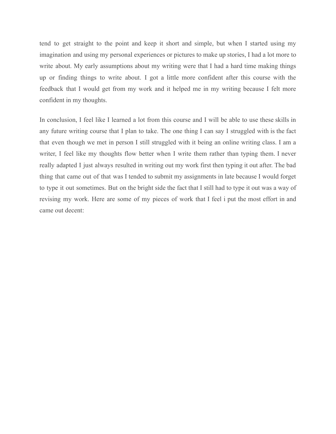tend to get straight to the point and keep it short and simple, but when I started using my imagination and using my personal experiences or pictures to make up stories, I had a lot more to write about. My early assumptions about my writing were that I had a hard time making things up or finding things to write about. I got a little more confident after this course with the feedback that I would get from my work and it helped me in my writing because I felt more confident in my thoughts.

In conclusion, I feel like I learned a lot from this course and I will be able to use these skills in any future writing course that I plan to take. The one thing I can say I struggled with is the fact that even though we met in person I still struggled with it being an online writing class. I am a writer, I feel like my thoughts flow better when I write them rather than typing them. I never really adapted I just always resulted in writing out my work first then typing it out after. The bad thing that came out of that was I tended to submit my assignments in late because I would forget to type it out sometimes. But on the bright side the fact that I still had to type it out was a way of revising my work. Here are some of my pieces of work that I feel i put the most effort in and came out decent: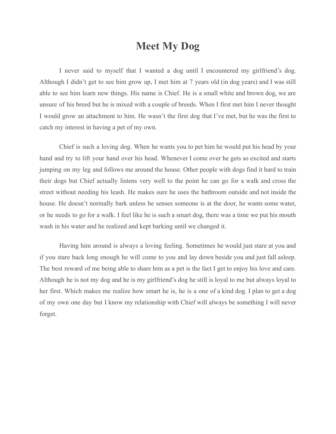## **Meet My Dog**

I never said to myself that I wanted a dog until I encountered my girlfriend's dog. Although I didn't get to see him grow up, I met him at 7 years old (in dog years) and I was still able to see him learn new things. His name is Chief. He is a small white and brown dog, we are unsure of his breed but he is mixed with a couple of breeds. When I first met him I never thought I would grow an attachment to him. He wasn't the first dog that I've met, but he was the first to catch my interest in having a pet of my own.

Chief is such a loving dog. When he wants you to pet him he would put his head by your hand and try to lift your hand over his head. Whenever I come over he gets so excited and starts jumping on my leg and follows me around the house. Other people with dogs find it hard to train their dogs but Chief actually listens very well to the point he can go for a walk and cross the street without needing his leash. He makes sure he uses the bathroom outside and not inside the house. He doesn't normally bark unless he senses someone is at the door, he wants some water, or he needs to go for a walk. I feel like he is such a smart dog, there was a time we put his mouth wash in his water and he realized and kept barking until we changed it.

Having him around is always a loving feeling. Sometimes he would just stare at you and if you stare back long enough he will come to you and lay down beside you and just fall asleep. The best reward of me being able to share him as a pet is the fact I get to enjoy his love and care. Although he is not my dog and he is my girlfriend's dog he still is loyal to me but always loyal to her first. Which makes me realize how smart he is, he is a one of a kind dog. I plan to get a dog of my own one day but I know my relationship with Chief will always be something I will never forget.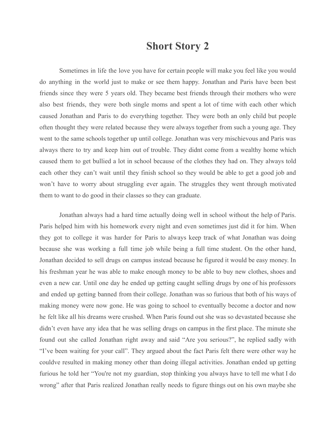## **Short Story 2**

Sometimes in life the love you have for certain people will make you feel like you would do anything in the world just to make or see them happy. Jonathan and Paris have been best friends since they were 5 years old. They became best friends through their mothers who were also best friends, they were both single moms and spent a lot of time with each other which caused Jonathan and Paris to do everything together. They were both an only child but people often thought they were related because they were always together from such a young age. They went to the same schools together up until college. Jonathan was very mischievous and Paris was always there to try and keep him out of trouble. They didnt come from a wealthy home which caused them to get bullied a lot in school because of the clothes they had on. They always told each other they can't wait until they finish school so they would be able to get a good job and won't have to worry about struggling ever again. The struggles they went through motivated them to want to do good in their classes so they can graduate.

Jonathan always had a hard time actually doing well in school without the help of Paris. Paris helped him with his homework every night and even sometimes just did it for him. When they got to college it was harder for Paris to always keep track of what Jonathan was doing because she was working a full time job while being a full time student. On the other hand, Jonathan decided to sell drugs on campus instead because he figured it would be easy money. In his freshman year he was able to make enough money to be able to buy new clothes, shoes and even a new car. Until one day he ended up getting caught selling drugs by one of his professors and ended up getting banned from their college. Jonathan was so furious that both of his ways of making money were now gone. He was going to school to eventually become a doctor and now he felt like all his dreams were crushed. When Paris found out she was so devastated because she didn't even have any idea that he was selling drugs on campus in the first place. The minute she found out she called Jonathan right away and said "Are you serious?", he replied sadly with "I've been waiting for your call". They argued about the fact Paris felt there were other way he couldve resulted in making money other than doing illegal activities. Jonathan ended up getting furious he told her "You're not my guardian, stop thinking you always have to tell me what I do wrong" after that Paris realized Jonathan really needs to figure things out on his own maybe she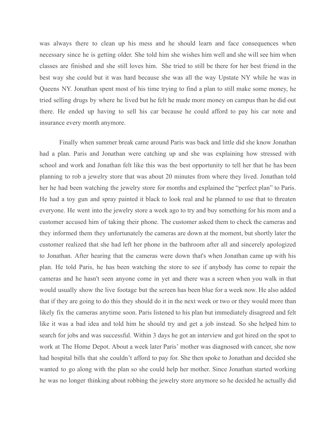was always there to clean up his mess and he should learn and face consequences when necessary since he is getting older. She told him she wishes him well and she will see him when classes are finished and she still loves him. She tried to still be there for her best friend in the best way she could but it was hard because she was all the way Upstate NY while he was in Queens NY. Jonathan spent most of his time trying to find a plan to still make some money, he tried selling drugs by where he lived but he felt he made more money on campus than he did out there. He ended up having to sell his car because he could afford to pay his car note and insurance every month anymore.

Finally when summer break came around Paris was back and little did she know Jonathan had a plan. Paris and Jonathan were catching up and she was explaining how stressed with school and work and Jonathan felt like this was the best opportunity to tell her that he has been planning to rob a jewelry store that was about 20 minutes from where they lived. Jonathan told her he had been watching the jewelry store for months and explained the "perfect plan" to Paris. He had a toy gun and spray painted it black to look real and he planned to use that to threaten everyone. He went into the jewelry store a week ago to try and buy something for his mom and a customer accused him of taking their phone. The customer asked them to check the cameras and they informed them they unfortunately the cameras are down at the moment, but shortly later the customer realized that she had left her phone in the bathroom after all and sincerely apologized to Jonathan. After hearing that the cameras were down that's when Jonathan came up with his plan. He told Paris, he has been watching the store to see if anybody has come to repair the cameras and he hasn't seen anyone come in yet and there was a screen when you walk in that would usually show the live footage but the screen has been blue for a week now. He also added that if they are going to do this they should do it in the next week or two or they would more than likely fix the cameras anytime soon. Paris listened to his plan but immediately disagreed and felt like it was a bad idea and told him he should try and get a job instead. So she helped him to search for jobs and was successful. Within 3 days he got an interview and got hired on the spot to work at The Home Depot. About a week later Paris' mother was diagnosed with cancer, she now had hospital bills that she couldn't afford to pay for. She then spoke to Jonathan and decided she wanted to go along with the plan so she could help her mother. Since Jonathan started working he was no longer thinking about robbing the jewelry store anymore so he decided he actually did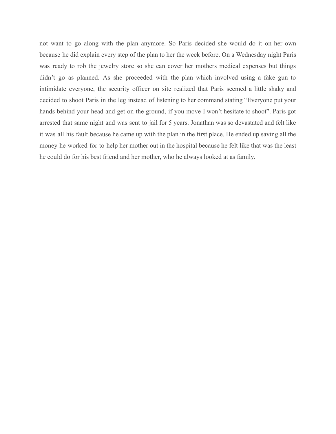not want to go along with the plan anymore. So Paris decided she would do it on her own because he did explain every step of the plan to her the week before. On a Wednesday night Paris was ready to rob the jewelry store so she can cover her mothers medical expenses but things didn't go as planned. As she proceeded with the plan which involved using a fake gun to intimidate everyone, the security officer on site realized that Paris seemed a little shaky and decided to shoot Paris in the leg instead of listening to her command stating "Everyone put your hands behind your head and get on the ground, if you move I won't hesitate to shoot". Paris got arrested that same night and was sent to jail for 5 years. Jonathan was so devastated and felt like it was all his fault because he came up with the plan in the first place. He ended up saving all the money he worked for to help her mother out in the hospital because he felt like that was the least he could do for his best friend and her mother, who he always looked at as family.